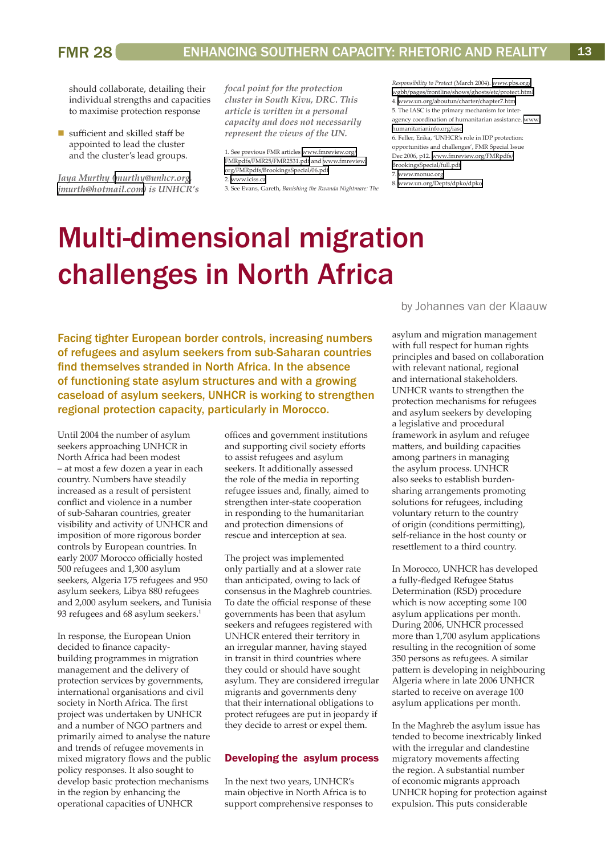# Multi-dimensional migration challenges in North Africa

Facing tighter European border controls, increasing numbers of refugees and asylum seekers from sub-Saharan countries find themselves stranded in North Africa. In the absence of functioning state asylum structures and with a growing caseload of asylum seekers, UNHCR is working to strengthen regional protection capacity, particularly in Morocco.

Until 2004 the number of asylum seekers approaching UNHCR in North Africa had been modest – at most a few dozen a year in each country. Numbers have steadily increased as a result of persistent conflict and violence in a number of sub-Saharan countries, greater visibility and activity of UNHCR and imposition of more rigorous border controls by European countries. In early 2007 Morocco officially hosted 500 refugees and 1,300 asylum seekers, Algeria 175 refugees and 950 asylum seekers, Libya 880 refugees and 2,000 asylum seekers, and Tunisia 93 refugees and 68 asylum seekers.<sup>1</sup>

In response, the European Union decided to finance capacitybuilding programmes in migration management and the delivery of protection services by governments, international organisations and civil society in North Africa. The first project was undertaken by UNHCR and a number of NGO partners and primarily aimed to analyse the nature and trends of refugee movements in mixed migratory flows and the public policy responses. It also sought to develop basic protection mechanisms in the region by enhancing the operational capacities of UNHCR

offices and government institutions and supporting civil society efforts to assist refugees and asylum seekers. It additionally assessed the role of the media in reporting refugee issues and, finally, aimed to strengthen inter-state cooperation in responding to the humanitarian and protection dimensions of rescue and interception at sea.

The project was implemented only partially and at a slower rate than anticipated, owing to lack of consensus in the Maghreb countries. To date the official response of these governments has been that asylum seekers and refugees registered with UNHCR entered their territory in an irregular manner, having stayed in transit in third countries where they could or should have sought asylum. They are considered irregular migrants and governments deny that their international obligations to protect refugees are put in jeopardy if they decide to arrest or expel them.

#### Developing the asylum process

In the next two years, UNHCR's main objective in North Africa is to support comprehensive responses to by Johannes van der Klaauw

asylum and migration management with full respect for human rights principles and based on collaboration with relevant national, regional and international stakeholders. UNHCR wants to strengthen the protection mechanisms for refugees and asylum seekers by developing a legislative and procedural framework in asylum and refugee matters, and building capacities among partners in managing the asylum process. UNHCR also seeks to establish burdensharing arrangements promoting solutions for refugees, including voluntary return to the country of origin (conditions permitting), self-reliance in the host county or resettlement to a third country.

In Morocco, UNHCR has developed a fully-fledged Refugee Status Determination (RSD) procedure which is now accepting some 100 asylum applications per month. During 2006, UNHCR processed more than 1,700 asylum applications resulting in the recognition of some 350 persons as refugees. A similar pattern is developing in neighbouring Algeria where in late 2006 UNHCR started to receive on average 100 asylum applications per month.

In the Maghreb the asylum issue has tended to become inextricably linked with the irregular and clandestine migratory movements affecting the region. A substantial number of economic migrants approach UNHCR hoping for protection against expulsion. This puts considerable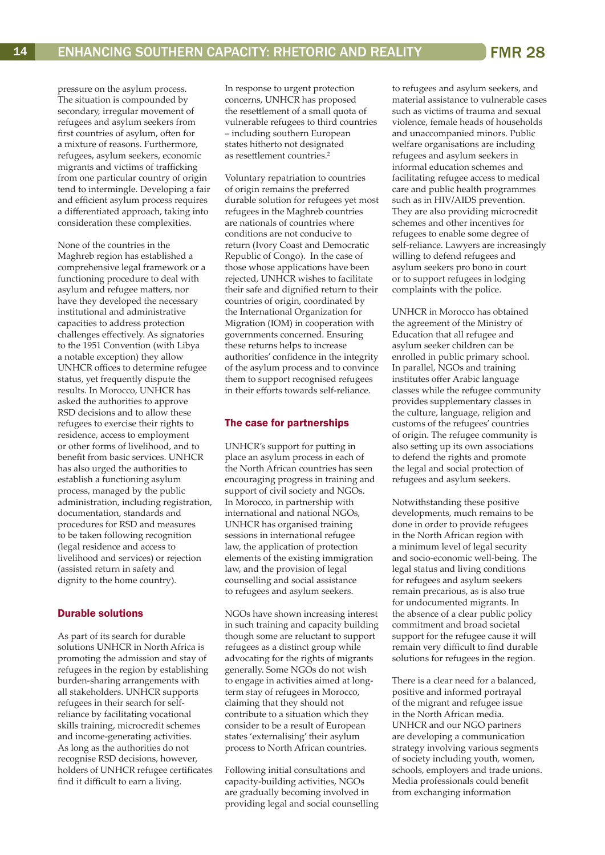pressure on the asylum process. The situation is compounded by secondary, irregular movement of refugees and asylum seekers from first countries of asylum, often for a mixture of reasons. Furthermore, refugees, asylum seekers, economic migrants and victims of trafficking from one particular country of origin tend to intermingle. Developing a fair and efficient asylum process requires a differentiated approach, taking into consideration these complexities.

None of the countries in the Maghreb region has established a comprehensive legal framework or a functioning procedure to deal with asylum and refugee matters, nor have they developed the necessary institutional and administrative capacities to address protection challenges effectively. As signatories to the 1951 Convention (with Libya a notable exception) they allow UNHCR offices to determine refugee status, yet frequently dispute the results. In Morocco, UNHCR has asked the authorities to approve RSD decisions and to allow these refugees to exercise their rights to residence, access to employment or other forms of livelihood, and to benefit from basic services. UNHCR has also urged the authorities to establish a functioning asylum process, managed by the public administration, including registration, documentation, standards and procedures for RSD and measures to be taken following recognition (legal residence and access to livelihood and services) or rejection (assisted return in safety and dignity to the home country).

## Durable solutions

As part of its search for durable solutions UNHCR in North Africa is promoting the admission and stay of refugees in the region by establishing burden-sharing arrangements with all stakeholders. UNHCR supports refugees in their search for selfreliance by facilitating vocational skills training, microcredit schemes and income-generating activities. As long as the authorities do not recognise RSD decisions, however, holders of UNHCR refugee certificates find it difficult to earn a living.

In response to urgent protection concerns, UNHCR has proposed the resettlement of a small quota of vulnerable refugees to third countries – including southern European states hitherto not designated as resettlement countries.<sup>2</sup>

Voluntary repatriation to countries of origin remains the preferred durable solution for refugees yet most refugees in the Maghreb countries are nationals of countries where conditions are not conducive to return (Ivory Coast and Democratic Republic of Congo). In the case of those whose applications have been rejected, UNHCR wishes to facilitate their safe and dignified return to their countries of origin, coordinated by the International Organization for Migration (IOM) in cooperation with governments concerned. Ensuring these returns helps to increase authorities' confidence in the integrity of the asylum process and to convince them to support recognised refugees in their efforts towards self-reliance.

## The case for partnerships

UNHCR's support for putting in place an asylum process in each of the North African countries has seen encouraging progress in training and support of civil society and NGOs. In Morocco, in partnership with international and national NGOs, UNHCR has organised training sessions in international refugee law, the application of protection elements of the existing immigration law, and the provision of legal counselling and social assistance to refugees and asylum seekers.

NGOs have shown increasing interest in such training and capacity building though some are reluctant to support refugees as a distinct group while advocating for the rights of migrants generally. Some NGOs do not wish to engage in activities aimed at longterm stay of refugees in Morocco, claiming that they should not contribute to a situation which they consider to be a result of European states 'externalising' their asylum process to North African countries.

Following initial consultations and capacity-building activities, NGOs are gradually becoming involved in providing legal and social counselling to refugees and asylum seekers, and material assistance to vulnerable cases such as victims of trauma and sexual violence, female heads of households and unaccompanied minors. Public welfare organisations are including refugees and asylum seekers in informal education schemes and facilitating refugee access to medical care and public health programmes such as in HIV/AIDS prevention. They are also providing microcredit schemes and other incentives for refugees to enable some degree of self-reliance. Lawyers are increasingly willing to defend refugees and asylum seekers pro bono in court or to support refugees in lodging complaints with the police.

UNHCR in Morocco has obtained the agreement of the Ministry of Education that all refugee and asylum seeker children can be enrolled in public primary school. In parallel, NGOs and training institutes offer Arabic language classes while the refugee community provides supplementary classes in the culture, language, religion and customs of the refugees' countries of origin. The refugee community is also setting up its own associations to defend the rights and promote the legal and social protection of refugees and asylum seekers.

Notwithstanding these positive developments, much remains to be done in order to provide refugees in the North African region with a minimum level of legal security and socio-economic well-being. The legal status and living conditions for refugees and asylum seekers remain precarious, as is also true for undocumented migrants. In the absence of a clear public policy commitment and broad societal support for the refugee cause it will remain very difficult to find durable solutions for refugees in the region.

There is a clear need for a balanced, positive and informed portrayal of the migrant and refugee issue in the North African media. UNHCR and our NGO partners are developing a communication strategy involving various segments of society including youth, women, schools, employers and trade unions. Media professionals could benefit from exchanging information